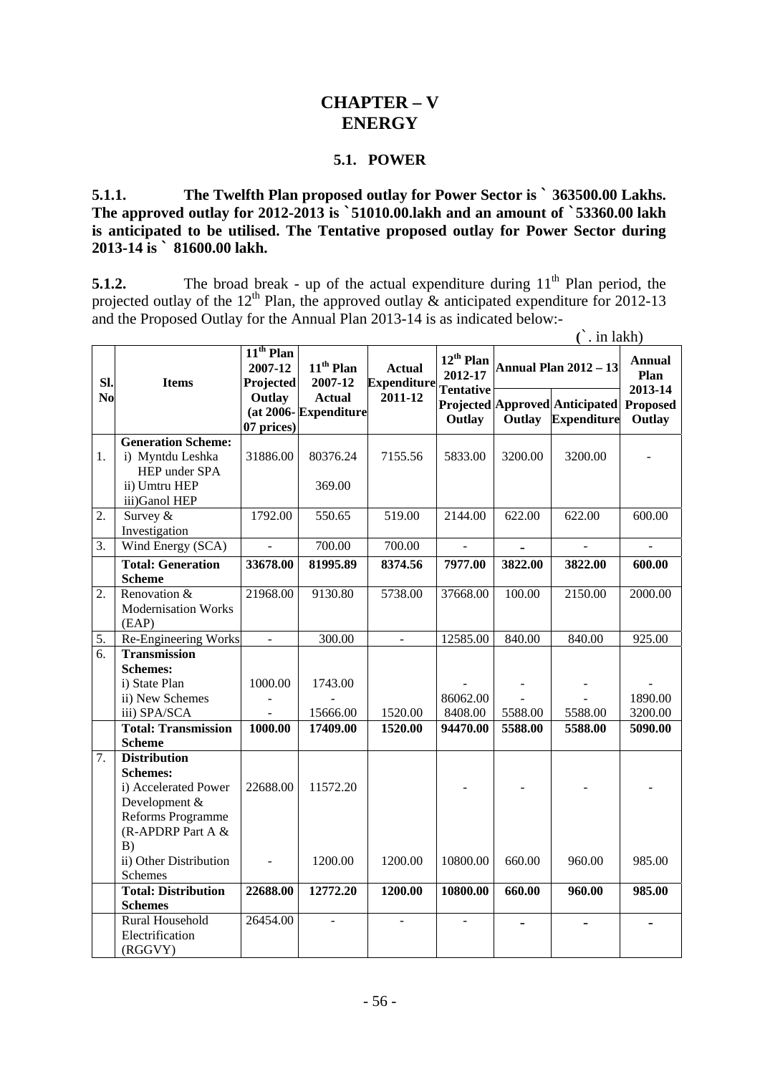# **CHAPTER – V ENERGY**

#### **5.1. POWER**

**5.1.1. The Twelfth Plan proposed outlay for Power Sector is ` 363500.00 Lakhs. The approved outlay for 2012-2013 is `51010.00.lakh and an amount of `53360.00 lakh is anticipated to be utilised. The Tentative proposed outlay for Power Sector during 2013-14 is ` 81600.00 lakh.** 

**5.1.2.** The broad break - up of the actual expenditure during 11<sup>th</sup> Plan period, the projected outlay of the 12<sup>th</sup> Plan, the approved outlay  $\&$  anticipated expenditure for 2012-13 and the Proposed Outlay for the Annual Plan 2013-14 is as indicated below:-

**(**`. in lakh)

|                       | <b>Items</b>                                                                                                              | $11th$ Plan<br>2007-12 | $11th$ Plan                                      | <b>Actual</b><br><b>Expenditure</b><br>$2011 - 12$ | $12^{th}$ Plan<br>2012-17<br><b>Tentative</b><br>Outlay | <b>Annual Plan 2012 - 13</b> |                                                      | <b>Annual</b>                                |
|-----------------------|---------------------------------------------------------------------------------------------------------------------------|------------------------|--------------------------------------------------|----------------------------------------------------|---------------------------------------------------------|------------------------------|------------------------------------------------------|----------------------------------------------|
| SI.<br>N <sub>0</sub> |                                                                                                                           | Projected<br>Outlay    | 2007-12<br><b>Actual</b><br>(at 2006-Expenditure |                                                    |                                                         | Outlay                       | Projected Approved Anticipated<br><b>Expenditure</b> | Plan<br>2013-14<br><b>Proposed</b><br>Outlay |
|                       |                                                                                                                           | 07 prices)             |                                                  |                                                    |                                                         |                              |                                                      |                                              |
| 1.                    | <b>Generation Scheme:</b><br>i) Myntdu Leshka<br>HEP under SPA<br>ii) Umtru HEP<br>iii)Ganol HEP                          | 31886.00               | 80376.24<br>369.00                               | 7155.56                                            | 5833.00                                                 | 3200.00                      | 3200.00                                              |                                              |
| 2.                    | Survey &<br>Investigation                                                                                                 | 1792.00                | 550.65                                           | 519.00                                             | 2144.00                                                 | 622.00                       | 622.00                                               | 600.00                                       |
| 3.                    | Wind Energy (SCA)                                                                                                         | $\sim$                 | 700.00                                           | 700.00                                             | $\overline{a}$                                          |                              | $\overline{a}$                                       | $\overline{a}$                               |
|                       | <b>Total: Generation</b><br><b>Scheme</b>                                                                                 | 33678.00               | 81995.89                                         | 8374.56                                            | 7977.00                                                 | 3822.00                      | 3822.00                                              | 600.00                                       |
| 2.                    | Renovation &<br><b>Modernisation Works</b><br>(EAP)                                                                       | 21968.00               | 9130.80                                          | 5738.00                                            | 37668.00                                                | 100.00                       | 2150.00                                              | 2000.00                                      |
| 5.                    | Re-Engineering Works                                                                                                      |                        | 300.00                                           | $\overline{a}$                                     | 12585.00                                                | 840.00                       | 840.00                                               | 925.00                                       |
| 6.                    | <b>Transmission</b>                                                                                                       |                        |                                                  |                                                    |                                                         |                              |                                                      |                                              |
|                       | <b>Schemes:</b>                                                                                                           |                        |                                                  |                                                    |                                                         |                              |                                                      |                                              |
|                       | i) State Plan                                                                                                             | 1000.00                | 1743.00                                          |                                                    |                                                         |                              |                                                      |                                              |
|                       | ii) New Schemes                                                                                                           |                        |                                                  |                                                    | 86062.00                                                |                              |                                                      | 1890.00                                      |
|                       | iii) SPA/SCA                                                                                                              |                        | 15666.00                                         | 1520.00                                            | 8408.00                                                 | 5588.00                      | 5588.00                                              | 3200.00                                      |
|                       | <b>Total: Transmission</b>                                                                                                | 1000.00                | 17409.00                                         | 1520.00                                            | 94470.00                                                | 5588.00                      | 5588.00                                              | 5090.00                                      |
|                       | <b>Scheme</b>                                                                                                             |                        |                                                  |                                                    |                                                         |                              |                                                      |                                              |
| 7.                    | <b>Distribution</b><br><b>Schemes:</b><br>i) Accelerated Power<br>Development &<br>Reforms Programme<br>(R-APDRP Part A & | 22688.00               | 11572.20                                         |                                                    |                                                         |                              |                                                      |                                              |
|                       | B)<br>ii) Other Distribution<br>Schemes                                                                                   |                        | 1200.00                                          | 1200.00                                            | 10800.00                                                | 660.00                       | 960.00                                               | 985.00                                       |
|                       | <b>Total: Distribution</b>                                                                                                | 22688.00               | 12772.20                                         | 1200.00                                            | 10800.00                                                | 660.00                       | 960.00                                               | 985.00                                       |
|                       | <b>Schemes</b>                                                                                                            |                        |                                                  |                                                    |                                                         |                              |                                                      |                                              |
|                       | Rural Household<br>Electrification<br>(RGGVY)                                                                             | 26454.00               |                                                  | $\overline{a}$                                     | $\overline{a}$                                          | $\overline{\phantom{0}}$     | $\overline{a}$                                       |                                              |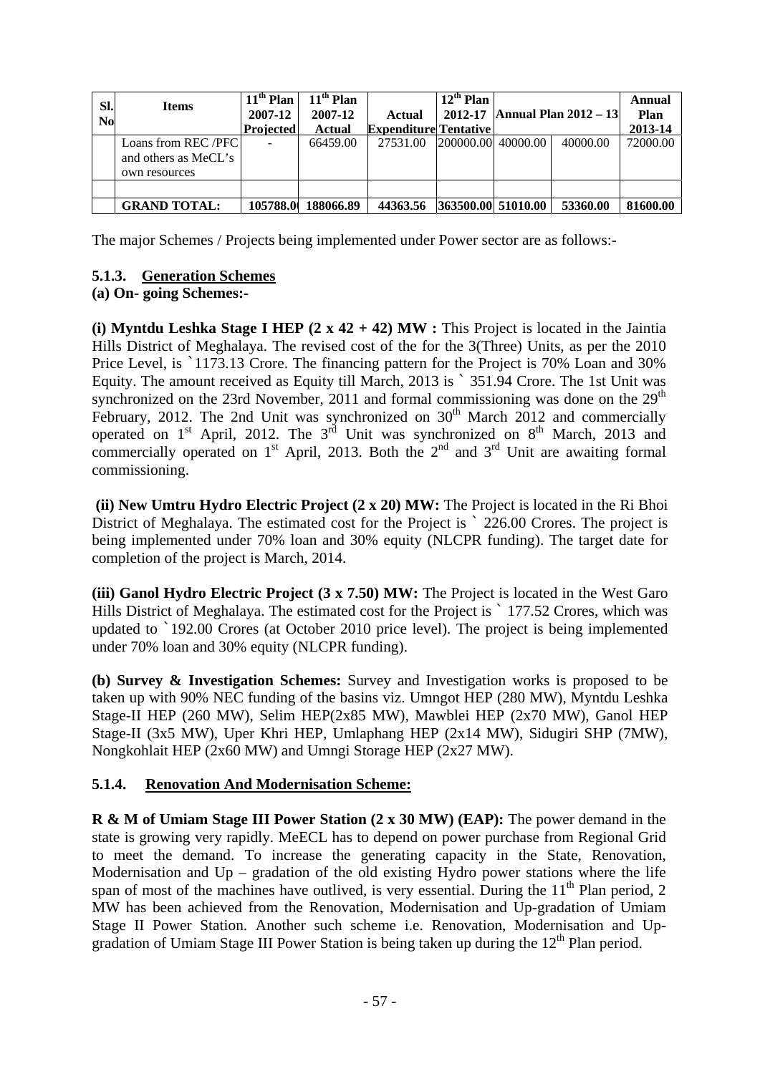| SI.<br>N <sub>0</sub> | <b>Items</b>         | $11th$ Plan<br>2007-12 | $11th$ Plan<br>2007-12 | Actual                       | $12^{th}$ Plan     | 2012-17   Annual Plan 2012 – 13 | Annual<br>Plan |
|-----------------------|----------------------|------------------------|------------------------|------------------------------|--------------------|---------------------------------|----------------|
|                       |                      | <b>Projected</b>       | Actual                 | <b>Expenditure Tentative</b> |                    |                                 | 2013-14        |
|                       | Loans from REC/PFC   |                        | 66459.00               | 27531.00                     | 200000.00 40000.00 | 40000.00                        | 72000.00       |
|                       | and others as MeCL's |                        |                        |                              |                    |                                 |                |
|                       | own resources        |                        |                        |                              |                    |                                 |                |
|                       |                      |                        |                        |                              |                    |                                 |                |
|                       | <b>GRAND TOTAL:</b>  | 105788.0               | 188066.89              | 44363.56                     | 363500.00 51010.00 | 53360.00                        | 81600.00       |

The major Schemes / Projects being implemented under Power sector are as follows:-

## **5.1.3. Generation Schemes**

### **(a) On- going Schemes:-**

**(i) Myntdu Leshka Stage I HEP (2 x 42 + 42) MW :** This Project is located in the Jaintia Hills District of Meghalaya. The revised cost of the for the 3(Three) Units, as per the 2010 Price Level, is `1173.13 Crore. The financing pattern for the Project is 70% Loan and 30% Equity. The amount received as Equity till March, 2013 is ` 351.94 Crore. The 1st Unit was synchronized on the 23rd November, 2011 and formal commissioning was done on the  $29<sup>th</sup>$ February, 2012. The 2nd Unit was synchronized on  $30<sup>th</sup>$  March 2012 and commercially operated on  $1<sup>st</sup>$  April, 2012. The  $3<sup>rd</sup>$  Unit was synchronized on  $8<sup>th</sup>$  March, 2013 and commercially operated on  $1<sup>st</sup>$  April, 2013. Both the  $2<sup>nd</sup>$  and  $3<sup>rd</sup>$  Unit are awaiting formal commissioning.

 **(ii) New Umtru Hydro Electric Project (2 x 20) MW:** The Project is located in the Ri Bhoi District of Meghalaya. The estimated cost for the Project is  $\degree$  226.00 Crores. The project is being implemented under 70% loan and 30% equity (NLCPR funding). The target date for completion of the project is March, 2014.

**(iii) Ganol Hydro Electric Project (3 x 7.50) MW:** The Project is located in the West Garo Hills District of Meghalaya. The estimated cost for the Project is ` 177.52 Crores, which was updated to `192.00 Crores (at October 2010 price level). The project is being implemented under 70% loan and 30% equity (NLCPR funding).

**(b) Survey & Investigation Schemes:** Survey and Investigation works is proposed to be taken up with 90% NEC funding of the basins viz. Umngot HEP (280 MW), Myntdu Leshka Stage-II HEP (260 MW), Selim HEP(2x85 MW), Mawblei HEP (2x70 MW), Ganol HEP Stage-II (3x5 MW), Uper Khri HEP, Umlaphang HEP (2x14 MW), Sidugiri SHP (7MW), Nongkohlait HEP (2x60 MW) and Umngi Storage HEP (2x27 MW).

## **5.1.4. Renovation And Modernisation Scheme:**

**R & M of Umiam Stage III Power Station (2 x 30 MW) (EAP):** The power demand in the state is growing very rapidly. MeECL has to depend on power purchase from Regional Grid to meet the demand. To increase the generating capacity in the State, Renovation, Modernisation and  $Up -$  gradation of the old existing Hydro power stations where the life span of most of the machines have outlived, is very essential. During the  $11<sup>th</sup>$  Plan period, 2 MW has been achieved from the Renovation, Modernisation and Up-gradation of Umiam Stage II Power Station. Another such scheme i.e. Renovation, Modernisation and Upgradation of Umiam Stage III Power Station is being taken up during the  $12<sup>th</sup>$  Plan period.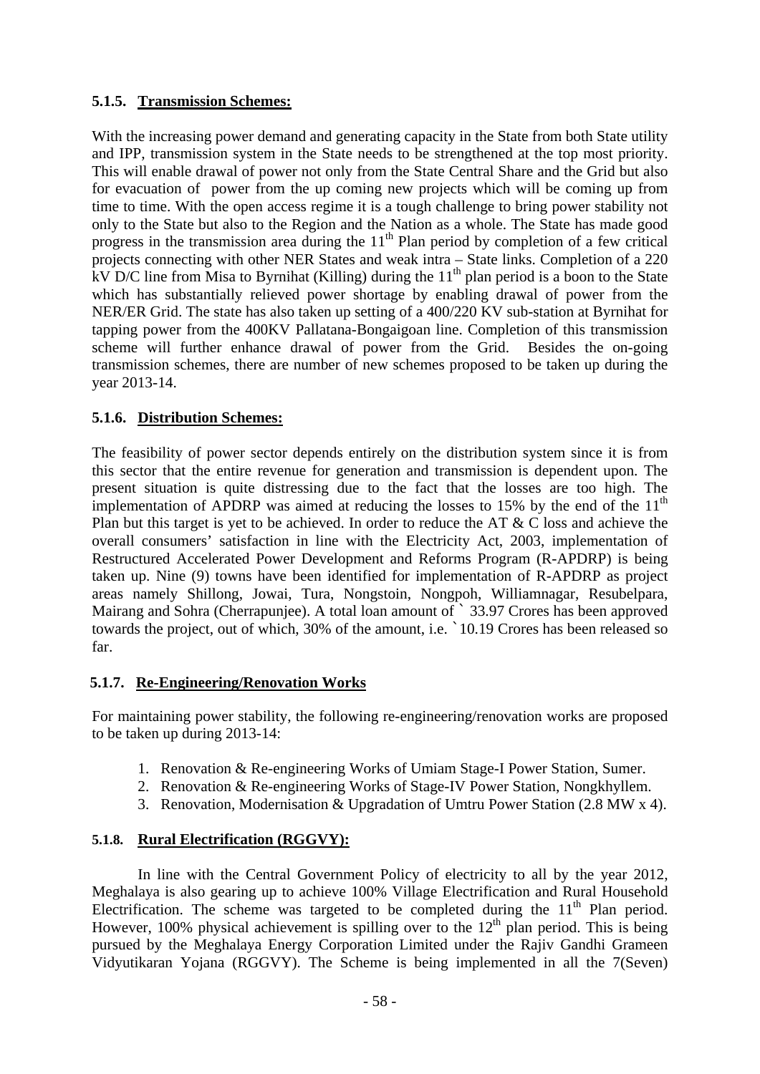### **5.1.5. Transmission Schemes:**

With the increasing power demand and generating capacity in the State from both State utility and IPP, transmission system in the State needs to be strengthened at the top most priority. This will enable drawal of power not only from the State Central Share and the Grid but also for evacuation of power from the up coming new projects which will be coming up from time to time. With the open access regime it is a tough challenge to bring power stability not only to the State but also to the Region and the Nation as a whole. The State has made good progress in the transmission area during the  $11<sup>th</sup>$  Plan period by completion of a few critical projects connecting with other NER States and weak intra – State links. Completion of a 220 kV D/C line from Misa to Byrnihat (Killing) during the 11<sup>th</sup> plan period is a boon to the State which has substantially relieved power shortage by enabling drawal of power from the NER/ER Grid. The state has also taken up setting of a 400/220 KV sub-station at Byrnihat for tapping power from the 400KV Pallatana-Bongaigoan line. Completion of this transmission scheme will further enhance drawal of power from the Grid. Besides the on-going transmission schemes, there are number of new schemes proposed to be taken up during the year 2013-14.

### **5.1.6. Distribution Schemes:**

The feasibility of power sector depends entirely on the distribution system since it is from this sector that the entire revenue for generation and transmission is dependent upon. The present situation is quite distressing due to the fact that the losses are too high. The implementation of APDRP was aimed at reducing the losses to 15% by the end of the  $11<sup>th</sup>$ Plan but this target is yet to be achieved. In order to reduce the AT & C loss and achieve the overall consumers' satisfaction in line with the Electricity Act, 2003, implementation of Restructured Accelerated Power Development and Reforms Program (R-APDRP) is being taken up. Nine (9) towns have been identified for implementation of R-APDRP as project areas namely Shillong, Jowai, Tura, Nongstoin, Nongpoh, Williamnagar, Resubelpara, Mairang and Sohra (Cherrapunjee). A total loan amount of  $\hat{ }$  33.97 Crores has been approved towards the project, out of which, 30% of the amount, i.e. `10.19 Crores has been released so far.

## **5.1.7. Re-Engineering/Renovation Works**

For maintaining power stability, the following re-engineering/renovation works are proposed to be taken up during 2013-14:

- 1. Renovation & Re-engineering Works of Umiam Stage-I Power Station, Sumer.
- 2. Renovation & Re-engineering Works of Stage-IV Power Station, Nongkhyllem.
- 3. Renovation, Modernisation & Upgradation of Umtru Power Station (2.8 MW x 4).

#### **5.1.8. Rural Electrification (RGGVY):**

 In line with the Central Government Policy of electricity to all by the year 2012, Meghalaya is also gearing up to achieve 100% Village Electrification and Rural Household Electrification. The scheme was targeted to be completed during the  $11<sup>th</sup>$  Plan period. However, 100% physical achievement is spilling over to the  $12<sup>th</sup>$  plan period. This is being pursued by the Meghalaya Energy Corporation Limited under the Rajiv Gandhi Grameen Vidyutikaran Yojana (RGGVY). The Scheme is being implemented in all the 7(Seven)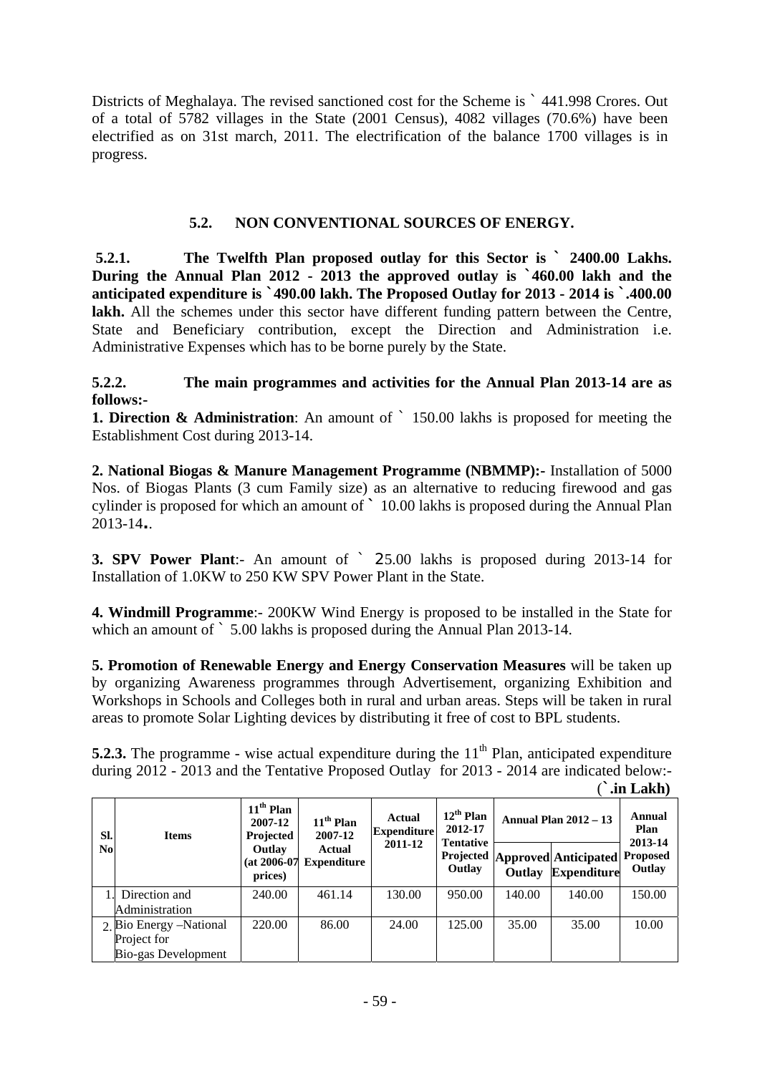Districts of Meghalaya. The revised sanctioned cost for the Scheme is ` 441.998 Crores. Out of a total of 5782 villages in the State (2001 Census), 4082 villages (70.6%) have been electrified as on 31st march, 2011. The electrification of the balance 1700 villages is in progress.

### **5.2. NON CONVENTIONAL SOURCES OF ENERGY.**

**5.2.1. The Twelfth Plan proposed outlay for this Sector is ` 2400.00 Lakhs. During the Annual Plan 2012 - 2013 the approved outlay is `460.00 lakh and the anticipated expenditure is `490.00 lakh. The Proposed Outlay for 2013 - 2014 is `.400.00**  lakh. All the schemes under this sector have different funding pattern between the Centre, State and Beneficiary contribution, except the Direction and Administration i.e. Administrative Expenses which has to be borne purely by the State.

#### **5.2.2. The main programmes and activities for the Annual Plan 2013-14 are as follows:-**

**1. Direction & Administration**: An amount of ` 150.00 lakhs is proposed for meeting the Establishment Cost during 2013-14.

**2. National Biogas & Manure Management Programme (NBMMP):-** Installation of 5000 Nos. of Biogas Plants (3 cum Family size) as an alternative to reducing firewood and gas cylinder is proposed for which an amount of **`** 10.00 lakhs is proposed during the Annual Plan 2013-14**.**.

**3. SPV Power Plant**:- An amount of ` 25.00 lakhs is proposed during 2013-14 for Installation of 1.0KW to 250 KW SPV Power Plant in the State.

**4. Windmill Programme**:- 200KW Wind Energy is proposed to be installed in the State for which an amount of  $\degree$  5.00 lakhs is proposed during the Annual Plan 2013-14.

**5. Promotion of Renewable Energy and Energy Conservation Measures** will be taken up by organizing Awareness programmes through Advertisement, organizing Exhibition and Workshops in Schools and Colleges both in rural and urban areas. Steps will be taken in rural areas to promote Solar Lighting devices by distributing it free of cost to BPL students.

**5.2.3.** The programme - wise actual expenditure during the 11<sup>th</sup> Plan, anticipated expenditure during 2012 - 2013 and the Tentative Proposed Outlay for 2013 - 2014 are indicated below:-

|                       |                         |                                                                            |                                                               |                                                |                                                         |                              |                                                             | .in Lakh)                 |
|-----------------------|-------------------------|----------------------------------------------------------------------------|---------------------------------------------------------------|------------------------------------------------|---------------------------------------------------------|------------------------------|-------------------------------------------------------------|---------------------------|
| SI.<br>N <sub>o</sub> | <b>Items</b>            | $11th$ Plan<br>2007-12<br>Projected<br>Outlay<br>$(at 2006-07)$<br>prices) | $11th$ Plan<br>2007-12<br><b>Actual</b><br><b>Expenditure</b> | <b>Actual</b><br><b>Expenditure</b><br>2011-12 | $12^{th}$ Plan<br>2012-17<br><b>Tentative</b><br>Outlay | <b>Annual Plan 2012 - 13</b> |                                                             | Annual<br>Plan<br>2013-14 |
|                       |                         |                                                                            |                                                               |                                                |                                                         | Outlay                       | <b>Projected Approved Anticipated</b><br><b>Expenditure</b> | <b>Proposed</b><br>Outlay |
|                       | Direction and           | 240.00                                                                     | 461.14                                                        | 130.00                                         | 950.00                                                  | 140.00                       | 140.00                                                      | 150.00                    |
|                       | Administration          |                                                                            |                                                               |                                                |                                                         |                              |                                                             |                           |
|                       | 2. Bio Energy –National | 220.00                                                                     | 86.00                                                         | 24.00                                          | 125.00                                                  | 35.00                        | 35.00                                                       | 10.00                     |
|                       | Project for             |                                                                            |                                                               |                                                |                                                         |                              |                                                             |                           |
|                       | Bio-gas Development     |                                                                            |                                                               |                                                |                                                         |                              |                                                             |                           |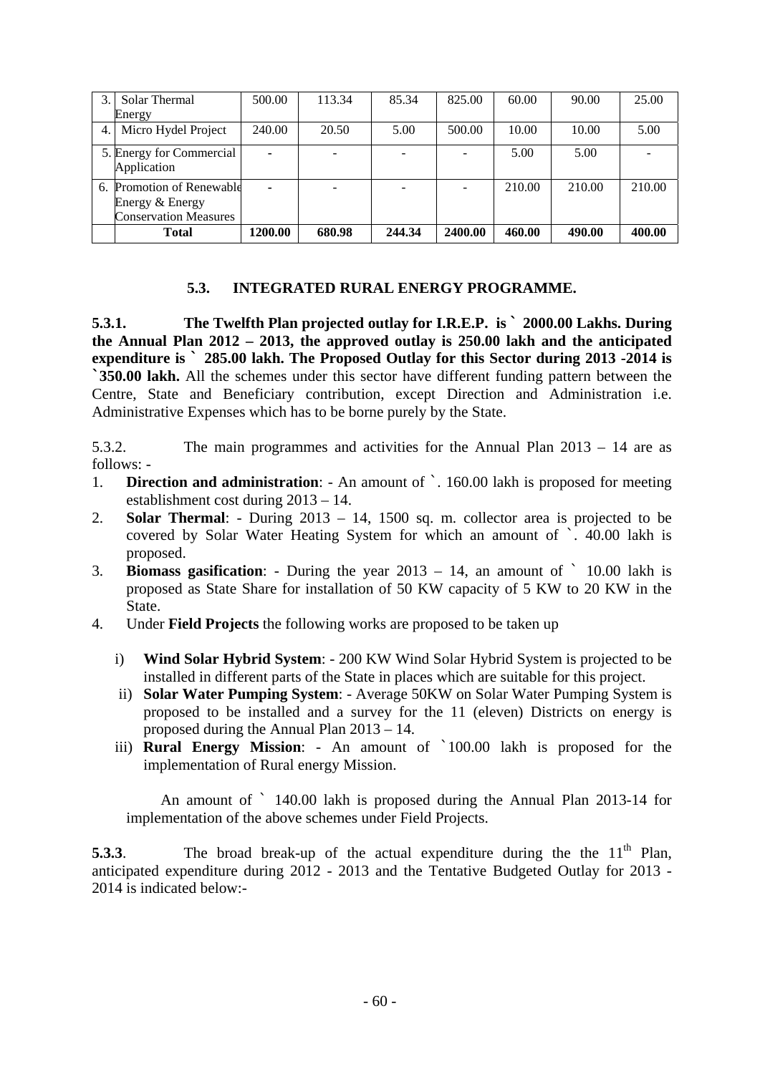|     | Solar Thermal                                                                | 500.00         | 113.34 | 85.34  | 825.00  | 60.00  | 90.00  | 25.00  |
|-----|------------------------------------------------------------------------------|----------------|--------|--------|---------|--------|--------|--------|
|     | Energy                                                                       |                |        |        |         |        |        |        |
| 4.1 | Micro Hydel Project                                                          | 240.00         | 20.50  | 5.00   | 500.00  | 10.00  | 10.00  | 5.00   |
|     | 5. Energy for Commercial<br>Application                                      | $\blacksquare$ |        |        |         | 5.00   | 5.00   |        |
|     | 6. Promotion of Renewable<br>Energy & Energy<br><b>Conservation Measures</b> |                |        |        |         | 210.00 | 210.00 | 210.00 |
|     | <b>Total</b>                                                                 | 1200.00        | 680.98 | 244.34 | 2400.00 | 460.00 | 490.00 | 400.00 |

#### **5.3. INTEGRATED RURAL ENERGY PROGRAMME.**

**5.3.1. The Twelfth Plan projected outlay for I.R.E.P. is ` 2000.00 Lakhs. During the Annual Plan 2012 – 2013, the approved outlay is 250.00 lakh and the anticipated expenditure is ` 285.00 lakh. The Proposed Outlay for this Sector during 2013 -2014 is `350.00 lakh.** All the schemes under this sector have different funding pattern between the Centre, State and Beneficiary contribution, except Direction and Administration i.e. Administrative Expenses which has to be borne purely by the State.

5.3.2. The main programmes and activities for the Annual Plan 2013 – 14 are as follows: -

- 1. **Direction and administration**: An amount of `. 160.00 lakh is proposed for meeting establishment cost during 2013 – 14.
- 2. **Solar Thermal**: During 2013 14, 1500 sq. m. collector area is projected to be covered by Solar Water Heating System for which an amount of `. 40.00 lakh is proposed.
- 3. **Biomass gasification**: During the year 2013 14, an amount of ` 10.00 lakh is proposed as State Share for installation of 50 KW capacity of 5 KW to 20 KW in the State.
- 4. Under **Field Projects** the following works are proposed to be taken up
	- i) **Wind Solar Hybrid System**: 200 KW Wind Solar Hybrid System is projected to be installed in different parts of the State in places which are suitable for this project.
	- ii) **Solar Water Pumping System**: Average 50KW on Solar Water Pumping System is proposed to be installed and a survey for the 11 (eleven) Districts on energy is proposed during the Annual Plan 2013 – 14.
	- iii) **Rural Energy Mission**: An amount of `100.00 lakh is proposed for the implementation of Rural energy Mission.

An amount of ` 140.00 lakh is proposed during the Annual Plan 2013-14 for implementation of the above schemes under Field Projects.

**5.3.3.** The broad break-up of the actual expenditure during the the 11<sup>th</sup> Plan, anticipated expenditure during 2012 - 2013 and the Tentative Budgeted Outlay for 2013 - 2014 is indicated below:-